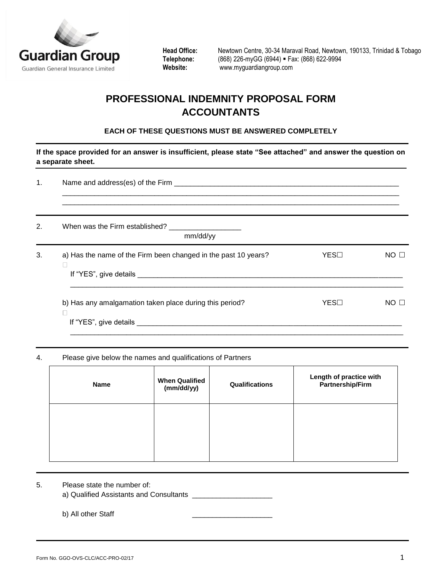

**Head Office:** Newtown Centre, 30-34 Maraval Road, Newtown, 190133, Trinidad & Tobago **Telephone:** (868) 226-myGG (6944) **Fax: (868) 622-9994**<br>
Website: www.myguardiangroup.com **Website:** [www.myguardiangroup.com](http://www.myguardiangroup.com/)

# **PROFESSIONAL INDEMNITY PROPOSAL FORM ACCOUNTANTS**

## **EACH OF THESE QUESTIONS MUST BE ANSWERED COMPLETELY**

**If the space provided for an answer is insufficient, please state "See attached" and answer the question on a separate sheet.**

| 1. |                                                                |      |                 |  |
|----|----------------------------------------------------------------|------|-----------------|--|
| 2. | mm/dd/yy                                                       |      |                 |  |
| 3. | a) Has the name of the Firm been changed in the past 10 years? | YES⊟ | NO <sub>1</sub> |  |
|    | b) Has any amalgamation taken place during this period?        | YES⊟ | NO <b>D</b>     |  |

## 4. Please give below the names and qualifications of Partners

| <b>Name</b> | <b>When Qualified</b><br>(mm/dd/yy) | Qualifications | Length of practice with<br>Partnership/Firm |
|-------------|-------------------------------------|----------------|---------------------------------------------|
|             |                                     |                |                                             |
|             |                                     |                |                                             |

## 5. Please state the number of:

a) Qualified Assistants and Consultants \_\_\_\_\_\_\_\_\_\_\_\_\_\_\_\_\_\_\_\_

b) All other Staff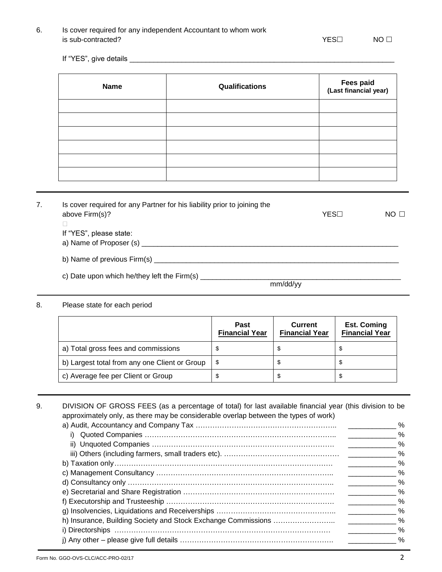# 6. Is cover required for any independent Accountant to whom work is sub-contracted? NO  $\Box$

If "YES", give details \_\_\_\_\_\_\_\_\_\_\_\_\_\_\_\_\_\_\_\_\_\_\_\_\_\_\_\_\_\_\_\_\_\_\_\_\_\_\_\_\_\_\_\_\_\_\_\_\_\_\_\_\_\_\_\_\_\_\_\_\_\_\_\_\_\_

| <b>Name</b> | Qualifications | Fees paid<br>(Last financial year) |
|-------------|----------------|------------------------------------|
|             |                |                                    |
|             |                |                                    |
|             |                |                                    |
|             |                |                                    |
|             |                |                                    |
|             |                |                                    |

| 7. | Is cover required for any Partner for his liability prior to joining the |          |      |                 |
|----|--------------------------------------------------------------------------|----------|------|-----------------|
|    | above Firm(s)?                                                           |          | YES⊟ | NO <sub>1</sub> |
|    |                                                                          |          |      |                 |
|    | If "YES", please state:                                                  |          |      |                 |
|    | a) Name of Proposer (s)                                                  |          |      |                 |
|    | b) Name of previous Firm(s)                                              |          |      |                 |
|    | c) Date upon which he/they left the Firm(s) _____                        |          |      |                 |
|    |                                                                          | mm/dd/yy |      |                 |

8. Please state for each period

|                                               | <b>Past</b><br><b>Financial Year</b> | <b>Current</b><br><b>Financial Year</b> | <b>Est. Coming</b><br><b>Financial Year</b> |
|-----------------------------------------------|--------------------------------------|-----------------------------------------|---------------------------------------------|
| a) Total gross fees and commissions           |                                      |                                         |                                             |
| b) Largest total from any one Client or Group | -86                                  | ა                                       |                                             |
| c) Average fee per Client or Group            |                                      |                                         |                                             |

9. DIVISION OF GROSS FEES (as a percentage of total) for last available financial year (this division to be approximately only, as there may be considerable overlap between the types of work) a) Audit, Accountancy and Company Tax  $\frac{1}{2}$ 

|  | - 70          |
|--|---------------|
|  | $\frac{0}{0}$ |
|  | $\frac{0}{0}$ |
|  | $\frac{0}{0}$ |
|  | $\frac{0}{0}$ |
|  | $\frac{0}{0}$ |
|  | $\frac{0}{0}$ |
|  | %             |
|  | %             |
|  | $\%$          |
|  | $\%$          |
|  | $\frac{0}{0}$ |
|  | $\frac{0}{0}$ |
|  |               |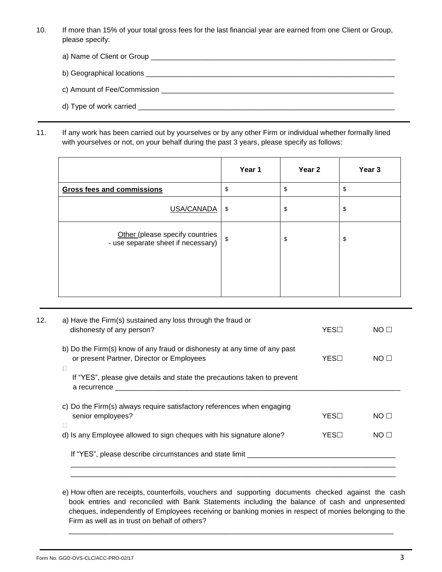10. If more than 15% of your total gross fees for the last financial year are earned from one Client or Group, please specify:

| c) Amount of Fee/Commission<br><u> 1980 - John Stein, Amerikaansk politiker († 1908)</u> |
|------------------------------------------------------------------------------------------|
|                                                                                          |

11. If any work has been carried out by yourselves or by any other Firm or individual whether formally lined with yourselves or not, on your behalf during the past 3 years, please specify as follows:

|                                                                       | Year 1 | Year <sub>2</sub> | Year 3 |
|-----------------------------------------------------------------------|--------|-------------------|--------|
| <b>Gross fees and commissions</b>                                     | \$     | \$                | \$     |
| USA/CANADA                                                            | \$     | \$                | \$     |
| Other (please specify countries<br>- use separate sheet if necessary) | \$     | \$                | \$     |
|                                                                       |        |                   |        |

| 12. | a) Have the Firm(s) sustained any loss through the fraud or<br>dishonesty of any person?                                                                                                                                                                                                                   | YES⊟ | NO <sub>1</sub> |
|-----|------------------------------------------------------------------------------------------------------------------------------------------------------------------------------------------------------------------------------------------------------------------------------------------------------------|------|-----------------|
|     | b) Do the Firm(s) know of any fraud or dishonesty at any time of any past<br>or present Partner, Director or Employees                                                                                                                                                                                     | YES⊟ | NO <sub>1</sub> |
|     | If "YES", please give details and state the precautions taken to prevent<br>a recurrence and the set of the set of the set of the set of the set of the set of the set of the set of the set of the set of the set of the set of the set of the set of the set of the set of the set of the set of the set |      |                 |
|     | c) Do the Firm(s) always require satisfactory references when engaging<br>senior employees?                                                                                                                                                                                                                | YES⊟ | NO <sub>1</sub> |
|     | d) Is any Employee allowed to sign cheques with his signature alone?                                                                                                                                                                                                                                       | YES⊟ | NO <sub>1</sub> |
|     | If "YES", please describe circumstances and state limit ________________________                                                                                                                                                                                                                           |      |                 |
|     |                                                                                                                                                                                                                                                                                                            |      |                 |

e) How often are receipts, counterfoils, vouchers and supporting documents checked against the cash book entries and reconciled with Bank Statements including the balance of cash and unpresented cheques, independently of Employees receiving or banking monies in respect of monies belonging to the Firm as well as in trust on behalf of others?

\_\_\_\_\_\_\_\_\_\_\_\_\_\_\_\_\_\_\_\_\_\_\_\_\_\_\_\_\_\_\_\_\_\_\_\_\_\_\_\_\_\_\_\_\_\_\_\_\_\_\_\_\_\_\_\_\_\_\_\_\_\_\_\_\_\_\_\_\_\_\_\_\_\_\_\_\_\_\_\_\_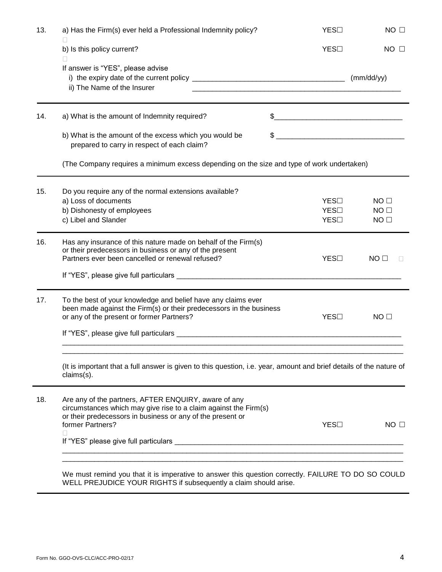| 13. | a) Has the Firm(s) ever held a Professional Indemnity policy?                                                                                                                                                   | YES□                 | NO <sub>1</sub>                                       |
|-----|-----------------------------------------------------------------------------------------------------------------------------------------------------------------------------------------------------------------|----------------------|-------------------------------------------------------|
|     | $\mathbf{L}$<br>b) Is this policy current?<br>П                                                                                                                                                                 | YES□                 | $NO$ $\Box$                                           |
|     | If answer is "YES", please advise<br>ii) The Name of the Insurer                                                                                                                                                |                      |                                                       |
| 14. | a) What is the amount of Indemnity required?                                                                                                                                                                    | $\frac{1}{2}$        |                                                       |
|     | b) What is the amount of the excess which you would be<br>prepared to carry in respect of each claim?                                                                                                           | \$                   |                                                       |
|     | (The Company requires a minimum excess depending on the size and type of work undertaken)                                                                                                                       |                      |                                                       |
| 15. | Do you require any of the normal extensions available?<br>a) Loss of documents<br>b) Dishonesty of employees<br>c) Libel and Slander                                                                            | YES□<br>YES□<br>YES□ | NO <sub>1</sub><br>NO <sub>1</sub><br>NO <sub>1</sub> |
| 16. | Has any insurance of this nature made on behalf of the Firm(s)<br>or their predecessors in business or any of the present<br>Partners ever been cancelled or renewal refused?                                   | YES□                 | NO <sub>1</sub>                                       |
| 17. | To the best of your knowledge and belief have any claims ever<br>been made against the Firm(s) or their predecessors in the business<br>or any of the present or former Partners?                               | YES□                 | $NO$ $\Box$                                           |
|     | (It is important that a full answer is given to this question, i.e. year, amount and brief details of the nature of<br>claims(s).                                                                               |                      |                                                       |
| 18. | Are any of the partners, AFTER ENQUIRY, aware of any<br>circumstances which may give rise to a claim against the Firm(s)<br>or their predecessors in business or any of the present or<br>former Partners?<br>П | YES□                 | NO <sub>1</sub>                                       |

WELL PREJUDICE YOUR RIGHTS if subsequently a claim should arise.